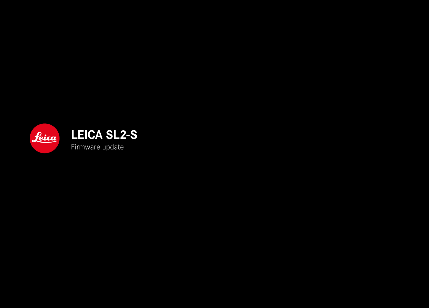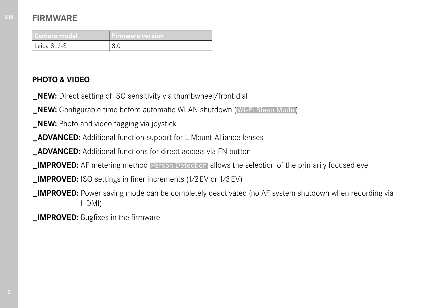# **FIRMWARE**

| Camera model | 'Firmware version' |
|--------------|--------------------|
| Leica SL2-S  |                    |

### **PHOTO & VIDEO**

- **\_NEW:** Direct setting of ISO sensitivity via thumbwheel/front dial
- **\_NEW:** Configurable time before automatic WLAN shutdown ( Wi-Fi Sleep Mode )
- **\_NEW:** Photo and video tagging via joystick
- **\_ADVANCED:** Additional function support for L-Mount-Alliance lenses
- **\_ADVANCED:** Additional functions for direct access via FN button
- **\_IMPROVED:** AF metering method  Person Detection  allows the selection of the primarily focused eye
- **\_IMPROVED:** ISO settings in finer increments (1⁄2EV or 1⁄3EV)
- **\_IMPROVED:** Power saving mode can be completely deactivated (no AF system shutdown when recording via HDMI)
- **IMPROVED:** Bugfixes in the firmware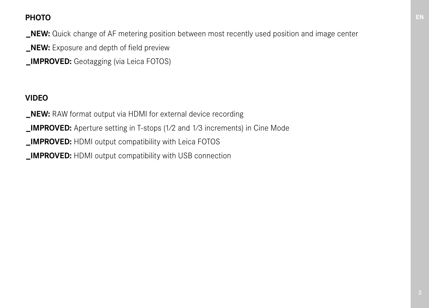# **PHOTO**

**\_NEW:** Quick change of AF metering position between most recently used position and image center

**\_NEW:** Exposure and depth of field preview

**\_IMPROVED:** Geotagging (via Leica FOTOS)

# **VIDEO**

**\_NEW:** RAW format output via HDMI for external device recording

**\_IMPROVED:** Aperture setting in T-stops (1⁄2 and 1⁄3 increments) in Cine Mode

**IMPROVED:** HDMI output compatibility with Leica FOTOS

**IMPROVED:** HDMI output compatibility with USB connection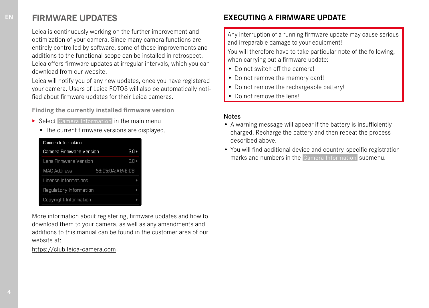### **FIRMWARE UPDATES**

Leica is continuously working on the further improvement and optimization of your camera. Since many camera functions are entirely controlled by software, some of these improvements and additions to the functional scope can be installed in retrospect. Leica offers firmware updates at irregular intervals, which you can download from our website.

Leica will notify you of any new updates, once you have registered your camera. Users of Leica FOTOS will also be automatically notified about firmware updates for their Leica cameras.

**Finding the currently installed firmware version**

- ▶ Select Camera Information in the main menu
	- The current firmware versions are displayed.

| Camera Information      |                        |                               |
|-------------------------|------------------------|-------------------------------|
| Camera Firmware Version | 30,                    |                               |
| Lens Firmware Version   |                        | $\overline{3}$ $\overline{1}$ |
| <b>MAC Address</b>      | 58: D5: 0A: A1: 4E: CB |                               |
| License Informations    |                        |                               |
| Requlatory Information  |                        |                               |
| Copyright Information   |                        |                               |

More information about registering, firmware updates and how to download them to your camera, as well as any amendments and additions to this manual can be found in the customer area of our website at:

https://club.leica-camera.com

# **EXECUTING A FIRMWARE UPDATE**

Any interruption of a running firmware update may cause serious and irreparable damage to your equipment!

You will therefore have to take particular note of the following, when carrying out a firmware update:

- Do not switch off the camera!
- Do not remove the memory card!
- Do not remove the rechargeable battery!
- Do not remove the lens!

#### Notes

- A warning message will appear if the battery is insufficiently charged. Recharge the battery and then repeat the process described above.
- You will find additional device and country-specific registration marks and numbers in the  Camera Information  submenu.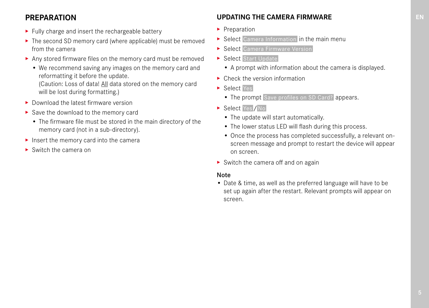### **PREPARATION**

- ▸ Fully charge and insert the rechargeable battery
- ▸ The second SD memory card (where applicable) must be removed from the camera
- ▸ Any stored firmware files on the memory card must be removed
	- We recommend saving any images on the memory card and reformatting it before the update.

(Caution: Loss of data! All data stored on the memory card will be lost during formatting.)

- ▸ Download the latest firmware version
- ▸ Save the download to the memory card
	- The firmware file must be stored in the main directory of the memory card (not in a sub-directory).
- ▸ Insert the memory card into the camera
- ▶ Switch the camera on

### **UPDATING THE CAMERA FIRMWARE**

- ▸ Preparation
- ▶ Select Camera Information in the main menu
- ▶ Select Camera Firmware Version
- ▶ Select Start Update
	- A prompt with information about the camera is displayed.
- ▶ Check the version information
- ▸ Select  Yes
	- The prompt Save profiles on SD Card? appears.
- ▶ Select Yes / No
	- The update will start automatically.
	- The lower status LED will flash during this process.
	- Once the process has completed successfully, a relevant onscreen message and prompt to restart the device will appear on screen.
- $\triangleright$  Switch the camera off and on again

### Note

• Date & time, as well as the preferred language will have to be set up again after the restart. Relevant prompts will appear on screen.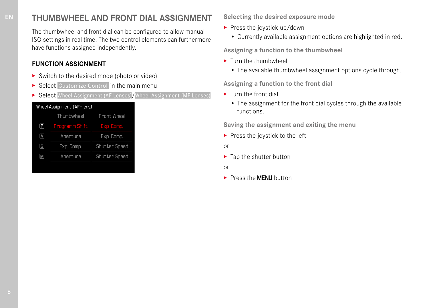# **THUMBWHEEL AND FRONT DIAL ASSIGNMENT**

The thumbwheel and front dial can be configured to allow manual ISO settings in real time. The two control elements can furthermore have functions assigned independently.

### **FUNCTION ASSIGNMENT**

- ▸ Switch to the desired mode (photo or video)
- ▶ Select Customize Control in the main menu
- ▶ Select Wheel Assignment (AF Lenses) / Wheel Assignment (MF Lenses)

| Wheel Assignment (AF-lens) |                       |                      |
|----------------------------|-----------------------|----------------------|
|                            | Thumbwheel            | Front Wheel          |
| $\boxdot$                  | <b>Programm Shift</b> | Exp. Comp.           |
| $\boxed{\mathbf{A}}$       | Aperture              | Exp. Comp.           |
| $\boxed{5}$                | Exp. Comp.            | <b>Shutter Speed</b> |
| $\overline{\mathsf{M}}$    | Aperture              | <b>Shutter Speed</b> |
|                            |                       |                      |

**Selecting the desired exposure mode**

- ▸ Press the joystick up/down
	- Currently available assignment options are highlighted in red.

**Assigning a function to the thumbwheel**

- ▸ Turn the thumbwheel
	- The available thumbwheel assignment options cycle through.

**Assigning a function to the front dial**

- ▸ Turn the front dial
	- The assignment for the front dial cycles through the available functions.

**Saving the assignment and exiting the menu**

 $\triangleright$  Press the joystick to the left

or

▶ Tap the shutter button

or

▶ Press the **MFNII** button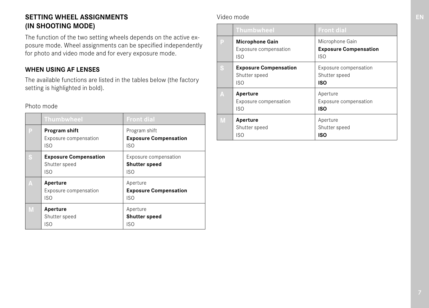### **SETTING WHEEL ASSIGNMENTS (IN SHOOTING MODE)**

The function of the two setting wheels depends on the active exposure mode. Wheel assignments can be specified independently for photo and video mode and for every exposure mode.

### **WHEN USING AF LENSES**

The available functions are listed in the tables below (the factory setting is highlighted in bold).

Photo mode

|   | <b>Thumbwheel</b>                                           | <b>Front dial</b>                                    |
|---|-------------------------------------------------------------|------------------------------------------------------|
| E | Program shift<br>Exposure compensation<br>ISO               | Program shift<br><b>Exposure Compensation</b><br>ISO |
|   | <b>Exposure Compensation</b><br>Shutter speed<br><b>ISO</b> | Exposure compensation<br><b>Shutter speed</b><br>ISO |
| Δ | Aperture<br>Exposure compensation<br><b>ISO</b>             | Aperture<br><b>Exposure Compensation</b><br>ISO      |
|   | Aperture<br>Shutter speed<br>ISO                            | Aperture<br><b>Shutter speed</b><br>ISO              |

### Video mode

|   | <b>Thumbwheel</b>                                      | <b>Front dial</b>                                      |
|---|--------------------------------------------------------|--------------------------------------------------------|
| P | <b>Microphone Gain</b><br>Exposure compensation<br>ISO | Microphone Gain<br><b>Exposure Compensation</b><br>ISO |
| Š | <b>Exposure Compensation</b><br>Shutter speed<br>ISO   | Exposure compensation<br>Shutter speed<br>ISO          |
| A | Aperture<br>Exposure compensation<br>ISO               | Aperture<br>Exposure compensation<br>ISO               |
| M | Aperture<br>Shutter speed<br>ISO                       | Aperture<br>Shutter speed<br>ISO                       |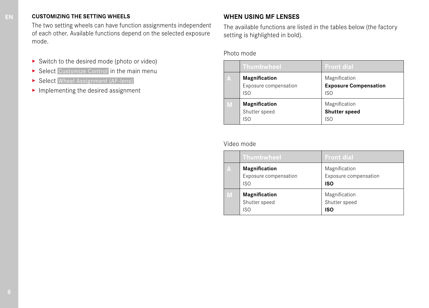#### **CUSTOMIZING THE SETTING WHEELS**

The two setting wheels can have function assignments independent of each other. Available functions depend on the selected exposure mode.

- ▸ Switch to the desired mode (photo or video)
- ▶ Select Customize Control in the main menu
- ▶ Select Wheel Assignment (AF-lens)
- $\blacktriangleright$  Implementing the desired assignment

### **WHEN USING MF LENSES**

The available functions are listed in the tables below (the factory setting is highlighted in bold).

### Photo mode

|   | <b>Thumbwheel</b>                             | <b>Front dial</b>                                    |
|---|-----------------------------------------------|------------------------------------------------------|
| А | Magnification<br>Exposure compensation<br>ISO | Magnification<br><b>Exposure Compensation</b><br>ISO |
| M | Magnification<br>Shutter speed<br>ISO         | Magnification<br><b>Shutter speed</b><br>ISO         |

#### Video mode

|   | <b>Thumbwheel</b>                             | <b>Front dial</b>                             |
|---|-----------------------------------------------|-----------------------------------------------|
| А | Magnification<br>Exposure compensation<br>ISO | Magnification<br>Exposure compensation<br>ISO |
| M | Magnification<br>Shutter speed<br>ISO         | Magnification<br>Shutter speed<br>ISO         |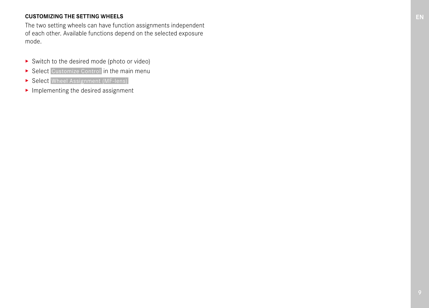#### **CUSTOMIZING THE SETTING WHEELS**

The two setting wheels can have function assignments independent of each other. Available functions depend on the selected exposure mode.

- ▸ Switch to the desired mode (photo or video)
- ▶ Select Customize Control in the main menu
- ▶ Select Wheel Assignment (MF-lens)
- $\blacktriangleright$  Implementing the desired assignment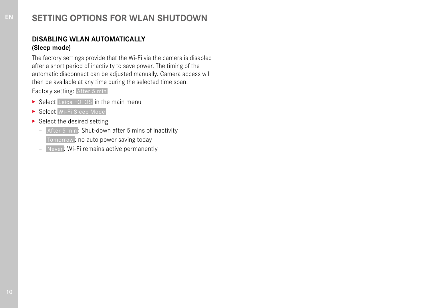# **SETTING OPTIONS FOR WLAN SHUTDOWN**

### **DISABLING WLAN AUTOMATICALLY (Sleep mode)**

The factory settings provide that the Wi-Fi via the camera is disabled after a short period of inactivity to save power. The timing of the automatic disconnect can be adjusted manually. Camera access will then be available at any time during the selected time span. Factory setting: After 5 min

- ▶ Select Leica FOTOS in the main menu
- ▸ Select  Wi-Fi Sleep Mode
- ▸ Select the desired setting
	- After 5 min : Shut-down after 5 mins of inactivity
	- Tomorrow : no auto power saving today
	- Never : Wi-Fi remains active permanently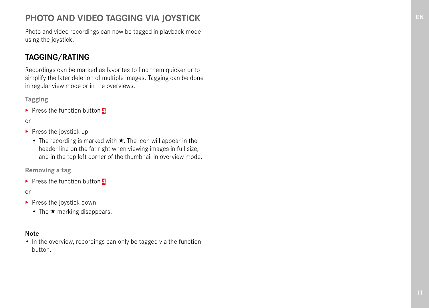# **PHOTO AND VIDEO TAGGING VIA JOYSTICK**

Photo and video recordings can now be tagged in playback mode using the joystick.

# **TAGGING/RATING**

Recordings can be marked as favorites to find them quicker or to simplify the later deletion of multiple images. Tagging can be done in regular view mode or in the overviews.

**Tagging**

▸ Press the function button **4**

or

- ▶ Press the joystick up
	- The recording is marked with ★. The icon will appear in the header line on the far right when viewing images in full size, and in the top left corner of the thumbnail in overview mode.

**Removing a tag**

▸ Press the function button **4**

or

- ▶ Press the joystick down
	- The ★ marking disappears.

#### Note

• In the overview, recordings can only be tagged via the function button.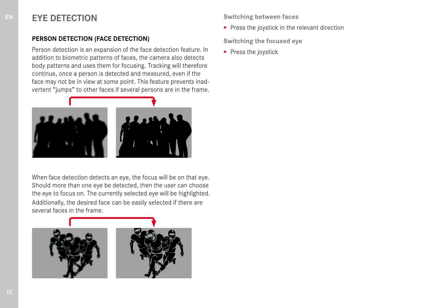# **EYE DETECTION**

### **PERSON DETECTION (FACE DETECTION)**

Person detection is an expansion of the face detection feature. In addition to biometric patterns of faces, the camera also detects body patterns and uses them for focusing. Tracking will therefore continue, once a person is detected and measured, even if the face may not be in view at some point. This feature prevents inadvertent "jumps" to other faces if several persons are in the frame.



When face detection detects an eye, the focus will be on that eye. Should more than one eye be detected, then the user can choose the eye to focus on. The currently selected eye will be highlighted. Additionally, the desired face can be easily selected if there are several faces in the frame.



**Switching between faces**

 $\blacktriangleright$  Press the joystick in the relevant direction

**Switching the focused eye**

▸ Press the joystick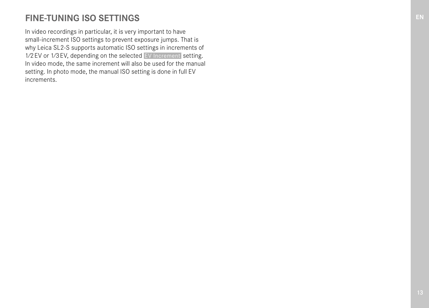# **FINE-TUNING ISO SETTINGS**

In video recordings in particular, it is very important to have small-increment ISO settings to prevent exposure jumps. That is why Leica SL2-S supports automatic ISO settings in increments of 1⁄2EV or 1⁄3EV, depending on the selected  EV Increment  setting. In video mode, the same increment will also be used for the manual setting. In photo mode, the manual ISO setting is done in full EV increments.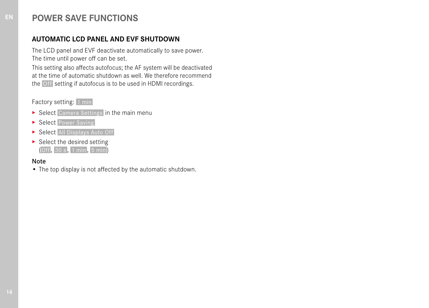### **POWER SAVE FUNCTIONS**

### **AUTOMATIC LCD PANEL AND EVF SHUTDOWN**

The LCD panel and EVF deactivate automatically to save power. The time until power off can be set.

This setting also affects autofocus; the AF system will be deactivated at the time of automatic shutdown as well. We therefore recommend the  Off  setting if autofocus is to be used in HDMI recordings.

Factory setting: 1 min

- ▶ Select Camera Settings in the main menu
- ▶ Select Power Saving
- ▶ Select All Displays Auto Off
- $\blacktriangleright$  Select the desired setting ( Off ,  30 s ,  1 min ,  5 min )

#### Note

• The top display is not affected by the automatic shutdown.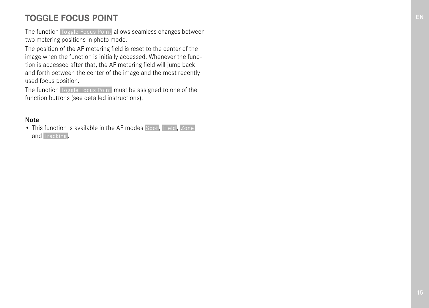# **TOGGLE FOCUS POINT**

The function Toggle Focus Point allows seamless changes between two metering positions in photo mode.

The position of the AF metering field is reset to the center of the image when the function is initially accessed. Whenever the function is accessed after that, the AF metering field will jump back and forth between the center of the image and the most recently used focus position.

The function Toggle Focus Point must be assigned to one of the function buttons (see detailed instructions).

### Note

• This function is available in the AF modes Spot. Field, Zone and Tracking.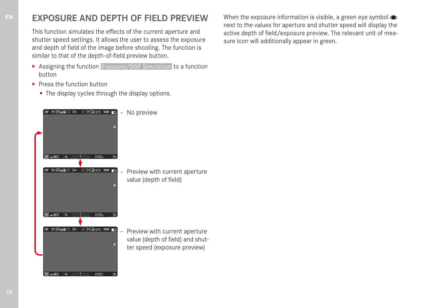# **EXPOSURE AND DEPTH OF FIELD PREVIEW**

This function simulates the effects of the current aperture and shutter speed settings. It allows the user to assess the exposure and depth of field of the image before shooting. The function is similar to that of the depth-of-field preview button.

- ▶ Assigning the function Exposure/DOF Simulation to a function button
- ▸ Press the function button
	- The display cycles through the display options.



When the exposure information is visible, a green eye symbol  $\bullet$ next to the values for aperture and shutter speed will display the active depth of field/exposure preview. The relevant unit of measure icon will additionally appear in green.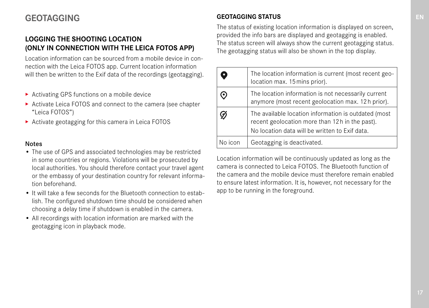# **GEOTAGGING**

### **LOGGING THE SHOOTING LOCATION (ONLY IN CONNECTION WITH THE LEICA FOTOS APP)**

Location information can be sourced from a mobile device in connection with the Leica FOTOS app. Current location information will then be written to the Exif data of the recordings (geotagging).

- ▸ Activating GPS functions on a mobile device
- ▸ Activate Leica FOTOS and connect to the camera (see chapter "Leica FOTOS")
- ▸ Activate geotagging for this camera in Leica FOTOS

#### Notes

- The use of GPS and associated technologies may be restricted in some countries or regions. Violations will be prosecuted by local authorities. You should therefore contact your travel agent or the embassy of your destination country for relevant information beforehand.
- It will take a few seconds for the Bluetooth connection to establish. The configured shutdown time should be considered when choosing a delay time if shutdown is enabled in the camera.
- All recordings with location information are marked with the geotagging icon in playback mode.

### **GEOTAGGING STATUS**

The status of existing location information is displayed on screen, provided the info bars are displayed and geotagging is enabled. The status screen will always show the current geotagging status. The geotagging status will also be shown in the top display.

|         | The location information is current (most recent geo-<br>location max. 15 mins prior).                                                                   |
|---------|----------------------------------------------------------------------------------------------------------------------------------------------------------|
|         | The location information is not necessarily current<br>anymore (most recent geolocation max. 12h prior).                                                 |
|         | The available location information is outdated (most<br>recent geolocation more than 12h in the past).<br>No location data will be written to Exif data. |
| No icon | Geotagging is deactivated.                                                                                                                               |

Location information will be continuously updated as long as the camera is connected to Leica FOTOS. The Bluetooth function of the camera and the mobile device must therefore remain enabled to ensure latest information. It is, however, not necessary for the app to be running in the foreground.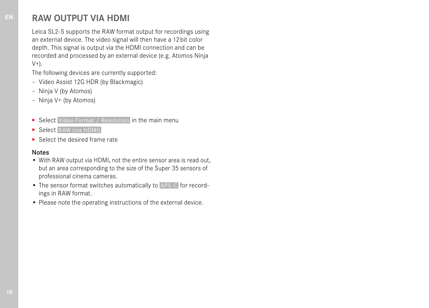### **RAW OUTPUT VIA HDMI**

Leica SL2-S supports the RAW format output for recordings using an external device. The video signal will then have a 12bit color depth. This signal is output via the HDMI connection and can be recorded and processed by an external device (e.g. Atomos Ninja  $V^+$ ).

The following devices are currently supported:

- Video Assist 12G HDR (by Blackmagic)
- Ninja V (by Atomos)
- Ninja V+ (by Atomos)
- ▶ Select Video Format / Resolution in the main menu
- ▶ Select RAW (via HDMI)
- ▸ Select the desired frame rate

#### Notes

- With RAW output via HDMI, not the entire sensor area is read out, but an area corresponding to the size of the Super 35 sensors of professional cinema cameras.
- The sensor format switches automatically to  APS-C  for recordings in RAW format.
- Please note the operating instructions of the external device.